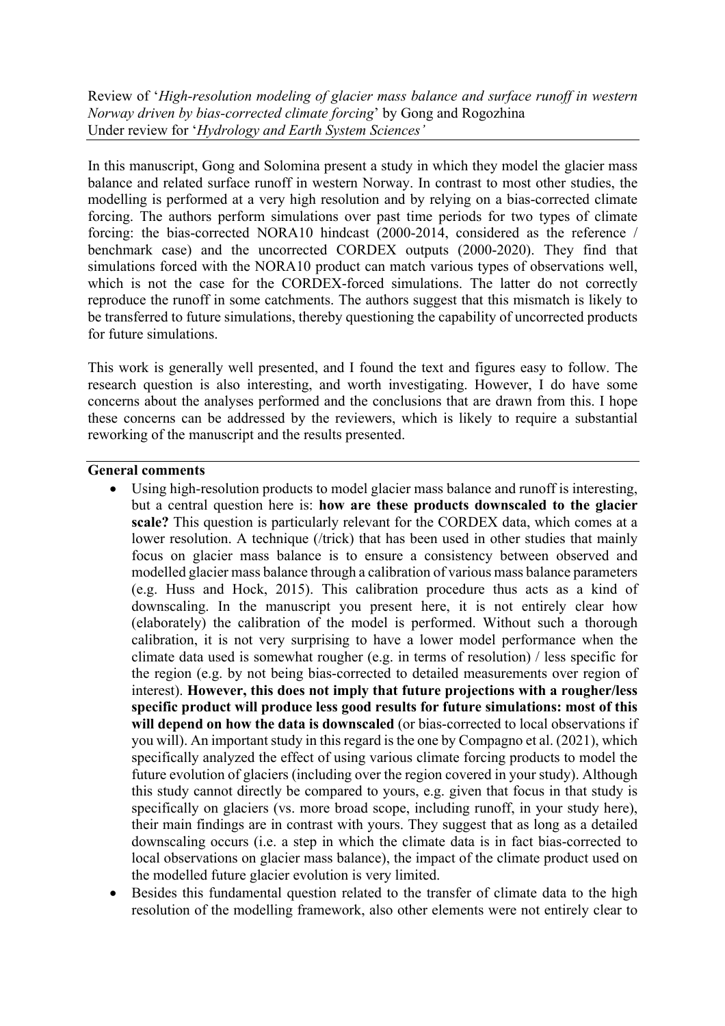Review of '*High-resolution modeling of glacier mass balance and surface runoff in western Norway driven by bias-corrected climate forcing*' by Gong and Rogozhina Under review for '*Hydrology and Earth System Sciences'*

In this manuscript, Gong and Solomina present a study in which they model the glacier mass balance and related surface runoff in western Norway. In contrast to most other studies, the modelling is performed at a very high resolution and by relying on a bias-corrected climate forcing. The authors perform simulations over past time periods for two types of climate forcing: the bias-corrected NORA10 hindcast (2000-2014, considered as the reference / benchmark case) and the uncorrected CORDEX outputs (2000-2020). They find that simulations forced with the NORA10 product can match various types of observations well, which is not the case for the CORDEX-forced simulations. The latter do not correctly reproduce the runoff in some catchments. The authors suggest that this mismatch is likely to be transferred to future simulations, thereby questioning the capability of uncorrected products for future simulations.

This work is generally well presented, and I found the text and figures easy to follow. The research question is also interesting, and worth investigating. However, I do have some concerns about the analyses performed and the conclusions that are drawn from this. I hope these concerns can be addressed by the reviewers, which is likely to require a substantial reworking of the manuscript and the results presented.

## **General comments**

- Using high-resolution products to model glacier mass balance and runoff is interesting, but a central question here is: **how are these products downscaled to the glacier scale?** This question is particularly relevant for the CORDEX data, which comes at a lower resolution. A technique (/trick) that has been used in other studies that mainly focus on glacier mass balance is to ensure a consistency between observed and modelled glacier mass balance through a calibration of various mass balance parameters (e.g. Huss and Hock, 2015). This calibration procedure thus acts as a kind of downscaling. In the manuscript you present here, it is not entirely clear how (elaborately) the calibration of the model is performed. Without such a thorough calibration, it is not very surprising to have a lower model performance when the climate data used is somewhat rougher (e.g. in terms of resolution) / less specific for the region (e.g. by not being bias-corrected to detailed measurements over region of interest). **However, this does not imply that future projections with a rougher/less specific product will produce less good results for future simulations: most of this will depend on how the data is downscaled** (or bias-corrected to local observations if you will). An important study in this regard is the one by Compagno et al. (2021), which specifically analyzed the effect of using various climate forcing products to model the future evolution of glaciers (including over the region covered in your study). Although this study cannot directly be compared to yours, e.g. given that focus in that study is specifically on glaciers (vs. more broad scope, including runoff, in your study here), their main findings are in contrast with yours. They suggest that as long as a detailed downscaling occurs (i.e. a step in which the climate data is in fact bias-corrected to local observations on glacier mass balance), the impact of the climate product used on the modelled future glacier evolution is very limited.
- Besides this fundamental question related to the transfer of climate data to the high resolution of the modelling framework, also other elements were not entirely clear to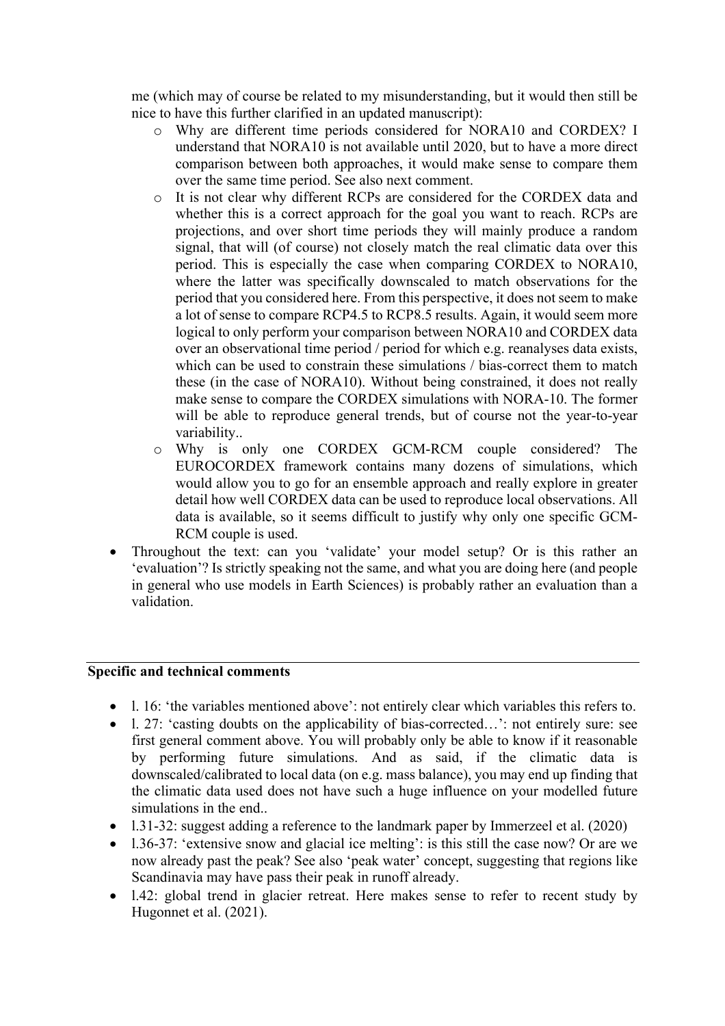me (which may of course be related to my misunderstanding, but it would then still be nice to have this further clarified in an updated manuscript):

- o Why are different time periods considered for NORA10 and CORDEX? I understand that NORA10 is not available until 2020, but to have a more direct comparison between both approaches, it would make sense to compare them over the same time period. See also next comment.
- o It is not clear why different RCPs are considered for the CORDEX data and whether this is a correct approach for the goal you want to reach. RCPs are projections, and over short time periods they will mainly produce a random signal, that will (of course) not closely match the real climatic data over this period. This is especially the case when comparing CORDEX to NORA10, where the latter was specifically downscaled to match observations for the period that you considered here. From this perspective, it does not seem to make a lot of sense to compare RCP4.5 to RCP8.5 results. Again, it would seem more logical to only perform your comparison between NORA10 and CORDEX data over an observational time period / period for which e.g. reanalyses data exists, which can be used to constrain these simulations / bias-correct them to match these (in the case of NORA10). Without being constrained, it does not really make sense to compare the CORDEX simulations with NORA-10. The former will be able to reproduce general trends, but of course not the year-to-year variability..
- o Why is only one CORDEX GCM-RCM couple considered? The EUROCORDEX framework contains many dozens of simulations, which would allow you to go for an ensemble approach and really explore in greater detail how well CORDEX data can be used to reproduce local observations. All data is available, so it seems difficult to justify why only one specific GCM-RCM couple is used.
- Throughout the text: can you 'validate' your model setup? Or is this rather an 'evaluation'? Is strictly speaking not the same, and what you are doing here (and people in general who use models in Earth Sciences) is probably rather an evaluation than a validation.

## **Specific and technical comments**

- l. 16: 'the variables mentioned above': not entirely clear which variables this refers to.
- 1. 27: 'casting doubts on the applicability of bias-corrected...': not entirely sure: see first general comment above. You will probably only be able to know if it reasonable by performing future simulations. And as said, if the climatic data is downscaled/calibrated to local data (on e.g. mass balance), you may end up finding that the climatic data used does not have such a huge influence on your modelled future simulations in the end..
- 1.31-32: suggest adding a reference to the landmark paper by Immerzeel et al. (2020)
- 1.36-37: 'extensive snow and glacial ice melting': is this still the case now? Or are we now already past the peak? See also 'peak water' concept, suggesting that regions like Scandinavia may have pass their peak in runoff already.
- 1.42: global trend in glacier retreat. Here makes sense to refer to recent study by Hugonnet et al. (2021).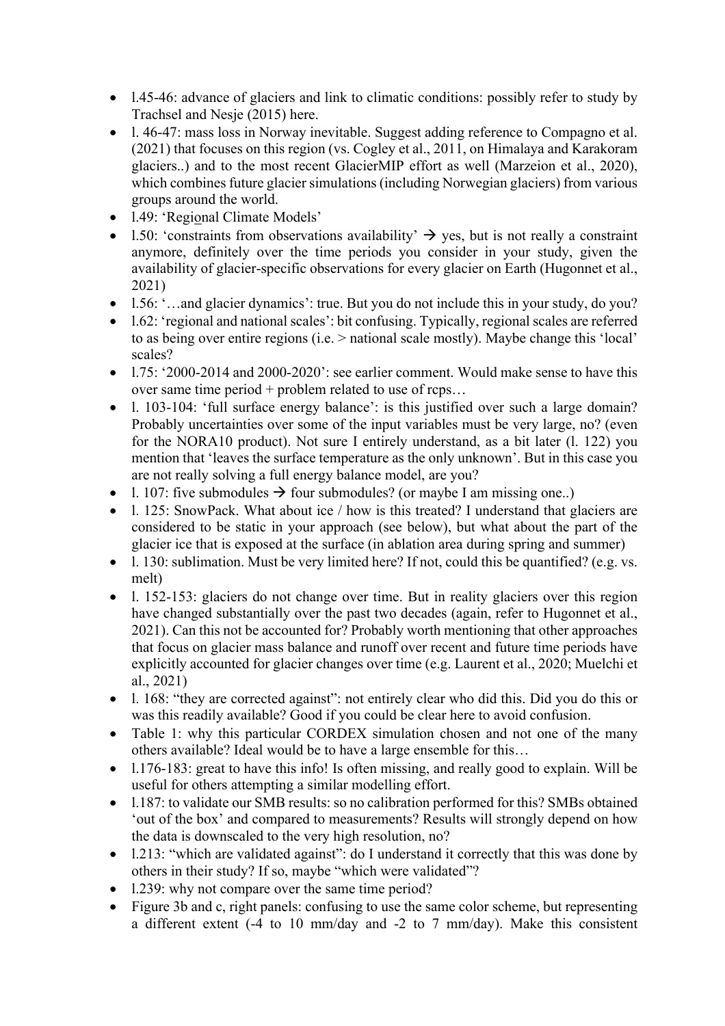- 1.45-46: advance of glaciers and link to climatic conditions: possibly refer to study by Trachsel and Nesje (2015) here.
- l. 46-47: mass loss in Norway inevitable. Suggest adding reference to Compagno et al. (2021) that focuses on this region (vs. Cogley et al., 2011, on Himalaya and Karakoram glaciers..) and to the most recent GlacierMIP effort as well (Marzeion et al., 2020), which combines future glacier simulations (including Norwegian glaciers) from various groups around the world.
- 1.49: 'Regional Climate Models'
- 1.50: 'constraints from observations availability'  $\rightarrow$  yes, but is not really a constraint anymore, definitely over the time periods you consider in your study, given the availability of glacier-specific observations for every glacier on Earth (Hugonnet et al., 2021)
- 1.56: '…and glacier dynamics': true. But you do not include this in your study, do you?
- 1.62: 'regional and national scales': bit confusing. Typically, regional scales are referred to as being over entire regions (i.e. > national scale mostly). Maybe change this 'local' scales?
- l.75: '2000-2014 and 2000-2020': see earlier comment. Would make sense to have this over same time period + problem related to use of rcps…
- 1. 103-104: 'full surface energy balance': is this justified over such a large domain? Probably uncertainties over some of the input variables must be very large, no? (even for the NORA10 product). Not sure I entirely understand, as a bit later (l. 122) you mention that 'leaves the surface temperature as the only unknown'. But in this case you are not really solving a full energy balance model, are you?
- 1. 107: five submodules  $\rightarrow$  four submodules? (or maybe I am missing one..)
- 1. 125: SnowPack. What about ice / how is this treated? I understand that glaciers are considered to be static in your approach (see below), but what about the part of the glacier ice that is exposed at the surface (in ablation area during spring and summer)
- 1. 130: sublimation. Must be very limited here? If not, could this be quantified? (e.g. vs. melt)
- l. 152-153: glaciers do not change over time. But in reality glaciers over this region have changed substantially over the past two decades (again, refer to Hugonnet et al., 2021). Can this not be accounted for? Probably worth mentioning that other approaches that focus on glacier mass balance and runoff over recent and future time periods have explicitly accounted for glacier changes over time (e.g. Laurent et al., 2020; Muelchi et al., 2021)
- 1. 168: "they are corrected against": not entirely clear who did this. Did you do this or was this readily available? Good if you could be clear here to avoid confusion.
- Table 1: why this particular CORDEX simulation chosen and not one of the many others available? Ideal would be to have a large ensemble for this…
- 1.176-183: great to have this info! Is often missing, and really good to explain. Will be useful for others attempting a similar modelling effort.
- 1.187: to validate our SMB results: so no calibration performed for this? SMBs obtained 'out of the box' and compared to measurements? Results will strongly depend on how the data is downscaled to the very high resolution, no?
- 1.213: "which are validated against": do I understand it correctly that this was done by others in their study? If so, maybe "which were validated"?
- 1.239: why not compare over the same time period?
- Figure 3b and c, right panels: confusing to use the same color scheme, but representing a different extent (-4 to 10 mm/day and -2 to 7 mm/day). Make this consistent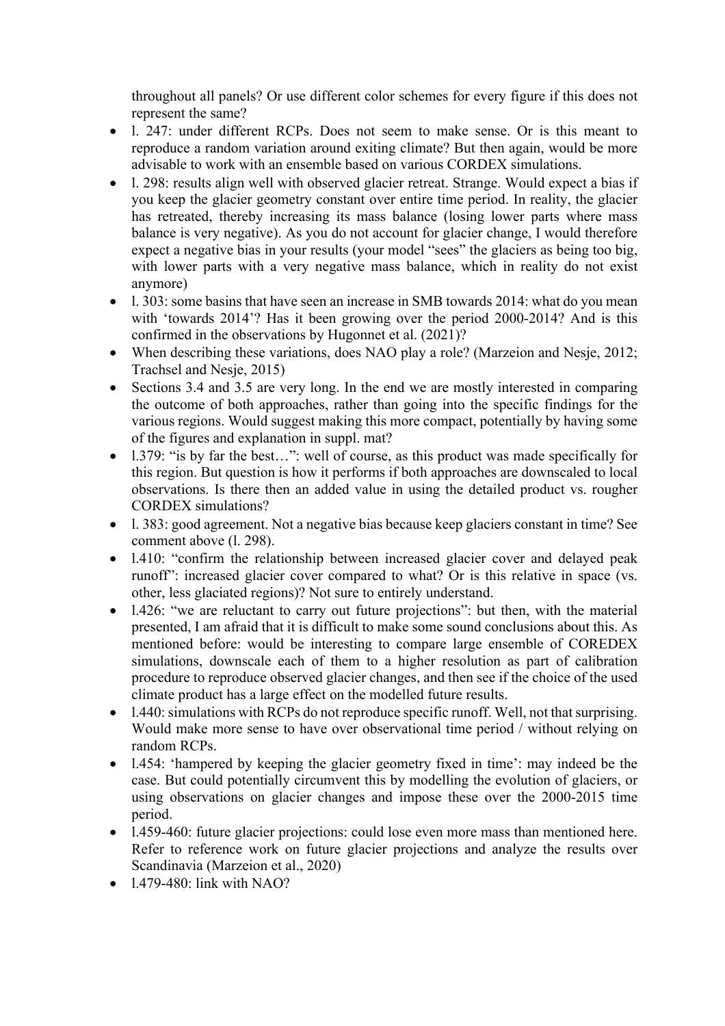throughout all panels? Or use different color schemes for every figure if this does not represent the same?

- l. 247: under different RCPs. Does not seem to make sense. Or is this meant to reproduce a random variation around exiting climate? But then again, would be more advisable to work with an ensemble based on various CORDEX simulations.
- l. 298: results align well with observed glacier retreat. Strange. Would expect a bias if you keep the glacier geometry constant over entire time period. In reality, the glacier has retreated, thereby increasing its mass balance (losing lower parts where mass balance is very negative). As you do not account for glacier change, I would therefore expect a negative bias in your results (your model "sees" the glaciers as being too big, with lower parts with a very negative mass balance, which in reality do not exist anymore)
- 1. 303: some basins that have seen an increase in SMB towards 2014: what do you mean with 'towards 2014'? Has it been growing over the period 2000-2014? And is this confirmed in the observations by Hugonnet et al. (2021)?
- When describing these variations, does NAO play a role? (Marzeion and Nesje, 2012; Trachsel and Nesje, 2015)
- Sections 3.4 and 3.5 are very long. In the end we are mostly interested in comparing the outcome of both approaches, rather than going into the specific findings for the various regions. Would suggest making this more compact, potentially by having some of the figures and explanation in suppl. mat?
- 1.379: "is by far the best...": well of course, as this product was made specifically for this region. But question is how it performs if both approaches are downscaled to local observations. Is there then an added value in using the detailed product vs. rougher CORDEX simulations?
- l. 383: good agreement. Not a negative bias because keep glaciers constant in time? See comment above (l. 298).
- l.410: "confirm the relationship between increased glacier cover and delayed peak runoff": increased glacier cover compared to what? Or is this relative in space (vs. other, less glaciated regions)? Not sure to entirely understand.
- l.426: "we are reluctant to carry out future projections": but then, with the material presented, I am afraid that it is difficult to make some sound conclusions about this. As mentioned before: would be interesting to compare large ensemble of COREDEX simulations, downscale each of them to a higher resolution as part of calibration procedure to reproduce observed glacier changes, and then see if the choice of the used climate product has a large effect on the modelled future results.
- l.440: simulations with RCPs do not reproduce specific runoff. Well, not that surprising. Would make more sense to have over observational time period / without relying on random RCPs.
- l.454: 'hampered by keeping the glacier geometry fixed in time': may indeed be the case. But could potentially circumvent this by modelling the evolution of glaciers, or using observations on glacier changes and impose these over the 2000-2015 time period.
- 1.459-460: future glacier projections: could lose even more mass than mentioned here. Refer to reference work on future glacier projections and analyze the results over Scandinavia (Marzeion et al., 2020)
- $\bullet$  1.479-480: link with NAO?